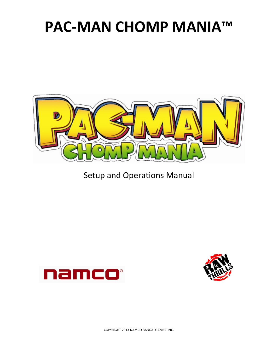

Setup and Operations Manual



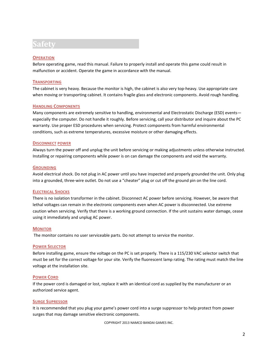### **Safety**

#### **OPERATION**

Before operating game, read this manual. Failure to properly install and operate this game could result in malfunction or accident. Operate the game in accordance with the manual.

#### **TRANSPORTING**

The cabinet is very heavy. Because the monitor is high, the cabinet is also very top-heavy. Use appropriate care when moving or transporting cabinet. It contains fragile glass and electronic components. Avoid rough handling.

#### **HANDLING COMPONENTS**

Many components are extremely sensitive to handling, environmental and Electrostatic Discharge (ESD) events especially the computer. Do not handle it roughly. Before servicing, call your distributor and inquire about the PC warranty. Use proper ESD procedures when servicing. Protect components from harmful environmental conditions, such as extreme temperatures, excessive moisture or other damaging effects.

#### **DISCONNECT POWER**

Always turn the power off and unplug the unit before servicing or making adjustments unless otherwise instructed. Installing or repairing components while power is on can damage the components and void the warranty.

#### **GROUNDING**

Avoid electrical shock. Do not plug in AC power until you have inspected and properly grounded the unit. Only plug into a grounded, three-wire outlet. Do not use a "cheater" plug or cut off the ground pin on the line cord.

#### **ELECTRICAL SHOCKS**

There is no isolation transformer in the cabinet. Disconnect AC power before servicing. However, be aware that lethal voltages can remain in the electronic components even when AC power is disconnected. Use extreme caution when servicing. Verify that there is a working ground connection. If the unit sustains water damage, cease using it immediately and unplug AC power.

#### **MONITOR**

The monitor contains no user serviceable parts. Do not attempt to service the monitor.

#### **POWER SELECTOR**

Before installing game, ensure the voltage on the PC is set properly. There is a 115/230 VAC selector switch that must be set for the correct voltage for your site. Verify the fluorescent lamp rating. The rating must match the line voltage at the installation site.

#### **POWER CORD**

If the power cord is damaged or lost, replace it with an identical cord as supplied by the manufacturer or an authorized service agent.

#### **SURGE SUPRESSOR**

It is recommended that you plug your game's power cord into a surge suppressor to help protect from power surges that may damage sensitive electronic components.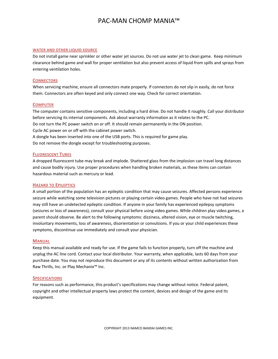#### **WATER AND OTHER LIQUID SOURCE**

Do not install game near sprinkler or other water jet sources. Do not use water jet to clean game. Keep minimum clearance behind game and wall for proper ventilation but also prevent access of liquid from spills and sprays from entering ventilation holes.

#### **CONNECTORS**

When servicing machine, ensure all connectors mate properly. If connectors do not slip in easily, do not force them. Connectors are often keyed and only connect one way. Check for correct orientation.

#### **COMPUTER**

The computer contains sensitive components, including a hard drive. Do not handle it roughly. Call your distributor before servicing its internal components. Ask about warranty information as it relates to the PC. Do not turn the PC power switch on or off. It should remain permanently in the ON position. Cycle AC power on or off with the cabinet power switch. A dongle has been inserted into one of the USB ports. This is required for game play. Do not remove the dongle except for troubleshooting purposes.

#### **FLUORESCENT TUBES**

A dropped fluorescent tube may break and implode. Shattered glass from the implosion can travel long distances and cause bodily injury. Use proper procedures when handling broken materials, as these items can contain hazardous material such as mercury or lead.

#### **HAZARD TO EPILEPTICS**

A small portion of the population has an epileptic condition that may cause seizures. Affected persons experience seizure while watching some television pictures or playing certain video games. People who have not had seizures may still have an undetected epileptic condition. If anyone in your family has experienced epilepsy symptoms (seizures or loss of awareness), consult your physical before using video games. While children play video games, a parent should observe. Be alert to the following symptoms: dizziness, altered vision, eye or muscle twitching, involuntary movements, loss of awareness, disorientation or convulsions. If you or your child experiences these symptoms, discontinue use immediately and consult your physician.

#### **MANUAL**

Keep this manual available and ready for use. If the game fails to function properly, turn off the machine and unplug the AC line cord. Contact your local distributor. Your warranty, when applicable, lasts 60 days from your purchase date. You may not reproduce this document or any of its contents without written authorization from Raw Thrills, Inc. or Play Mechanix™ Inc.

#### **SPECIFICATIONS**

For reasons such as performance, this product's specifications may change without notice. Federal patent, copyright and other intellectual property laws protect the content, devices and design of the game and its equipment.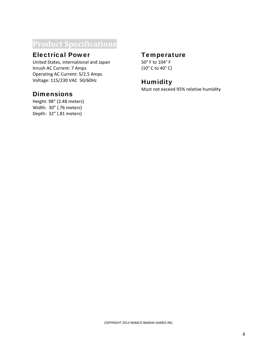### **Product Specifications**

### Electrical Power

United States, international and Japan Inrush AC Current: 7 Amps Operating AC Current: 5/2.5 Amps Voltage: 115/230 VAC 50/60Hz

### **Dimensions**

Height: 98" (2.48 meters) Width: 30" (.76 meters) Depth: 32" (.81 meters)

### **Temperature**

50° F to 104° F (10° C to 40° C)

### **Humidity**

Must not exceed 95% relative humidity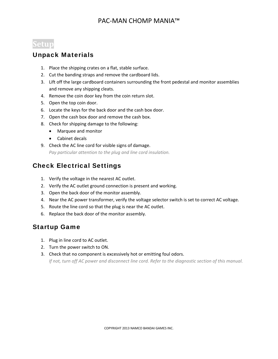### **Setup**

### Unpack Materials

- 1. Place the shipping crates on a flat, stable surface.
- 2. Cut the banding straps and remove the cardboard lids.
- 3. Lift off the large cardboard containers surrounding the front pedestal and monitor assemblies and remove any shipping cleats.
- 4. Remove the coin door key from the coin return slot.
- 5. Open the top coin door.
- 6. Locate the keys for the back door and the cash box door.
- 7. Open the cash box door and remove the cash box.
- 8. Check for shipping damage to the following:
	- Marquee and monitor
	- Cabinet decals
- 9. Check the AC line cord for visible signs of damage. *Pay particular attention to the plug and line cord insulation.*

### Check Electrical Settings

- 1. Verify the voltage in the nearest AC outlet.
- 2. Verify the AC outlet ground connection is present and working.
- 3. Open the back door of the monitor assembly.
- 4. Near the AC power transformer, verify the voltage selector switch is set to correct AC voltage.
- 5. Route the line cord so that the plug is near the AC outlet.
- 6. Replace the back door of the monitor assembly.

### Startup Game

- 1. Plug in line cord to AC outlet.
- 2. Turn the power switch to ON.
- 3. Check that no component is excessively hot or emitting foul odors.

If not, turn off AC power and disconnect line cord. Refer to the diagnostic section of this manual.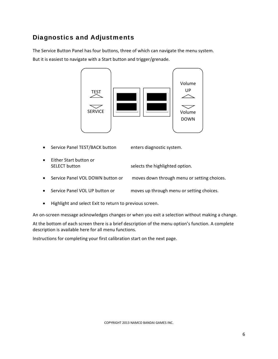### Diagnostics and Adjustments

The Service Button Panel has four buttons, three of which can navigate the menu system. But it is easiest to navigate with a Start button and trigger/grenade.



- Service Panel TEST/BACK button enters diagnostic system.
- Either Start button or SELECT button selects the highlighted option.
- Service Panel VOL DOWN button or moves down through menu or setting choices.
- Service Panel VOL UP button or moves up through menu or setting choices.
- Highlight and select Exit to return to previous screen.

An on-screen message acknowledges changes or when you exit a selection without making a change.

At the bottom of each screen there is a brief description of the menu option's function. A complete description is available here for all menu functions.

Instructions for completing your first calibration start on the next page.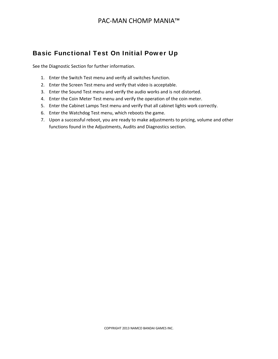### Basic Functional Test On Initial Power Up

See the Diagnostic Section for further information.

- 1. Enter the Switch Test menu and verify all switches function.
- 2. Enter the Screen Test menu and verify that video is acceptable.
- 3. Enter the Sound Test menu and verify the audio works and is not distorted.
- 4. Enter the Coin Meter Test menu and verify the operation of the coin meter.
- 5. Enter the Cabinet Lamps Test menu and verify that all cabinet lights work correctly.
- 6. Enter the Watchdog Test menu, which reboots the game.
- 7. Upon a successful reboot, you are ready to make adjustments to pricing, volume and other functions found in the Adjustments, Audits and Diagnostics section.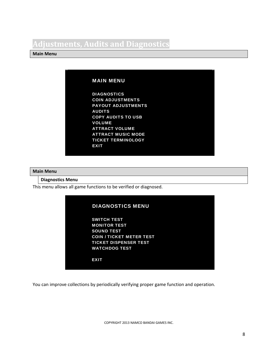### **Adjustments, Audits and Diagnostics**

### **Main Menu**

### MAIN MENU

DIAGNOSTICS COIN ADJUSTMENTS PAYOUT ADJUSTMENTS AUDITS COPY AUDITS TO USB VOLUME ATTRACT VOLUME ATTRACT MUSIC MODE TICKET TERMINOLOGY **EXIT** 

#### **Main Menu**

### **Diagnostics Menu**

This menu allows all game functions to be verified or diagnosed.

| <b>DIAGNOSTICS MENU</b>         |  |
|---------------------------------|--|
| <b>SWITCH TEST</b>              |  |
| <b>MONITOR TEST</b>             |  |
| <b>SOUND TEST</b>               |  |
| <b>COIN / TICKET METER TEST</b> |  |
| <b>TICKET DISPENSER TEST</b>    |  |
| <b>WATCHDOG TEST</b>            |  |
|                                 |  |
| <b>EXIT</b>                     |  |
|                                 |  |
|                                 |  |

You can improve collections by periodically verifying proper game function and operation.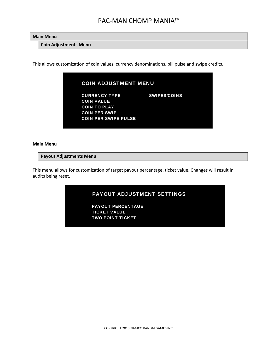**Main Menu**

**Coin Adjustments Menu**

This allows customization of coin values, currency denominations, bill pulse and swipe credits.

| <b>COIN ADJUSTMENT MENU</b> |                     |
|-----------------------------|---------------------|
| <b>CURRENCY TYPE</b>        | <b>SWIPES/COINS</b> |
| <b>COIN VALUE</b>           |                     |
| <b>COIN TO PLAY</b>         |                     |
| <b>COIN PER SWIP</b>        |                     |
| <b>COIN PER SWIPE PULSE</b> |                     |

#### **Main Menu**

#### **Payout Adjustments Menu**

This menu allows for customization of target payout percentage, ticket value. Changes will result in audits being reset.

| <b>PAYOUT ADJUSTMENT SETTINGS</b> |  |
|-----------------------------------|--|
| <b>PAYOUT PERCENTAGE</b>          |  |
| TICKET VALUE                      |  |
| TWO POINT TICKET                  |  |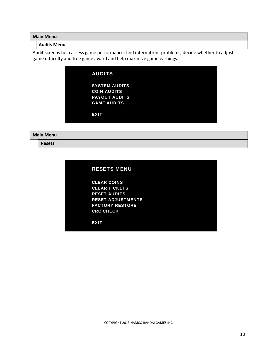**Main Menu**

### **Audits Menu**

Audit screens help assess game performance, find intermittent problems, decide whether to adjust game difficulty and free game award and help maximize game earnings.

| <b>AUDITS</b>        |
|----------------------|
| <b>SYSTEM AUDITS</b> |
| <b>COIN AUDITS</b>   |
| <b>PAYOUT AUDITS</b> |
| <b>GAME AUDITS</b>   |
|                      |
| <b>EXIT</b>          |
|                      |

#### **Main Menu**

**Resets**

| <b>RESETS MENU</b> |  |  |  |
|--------------------|--|--|--|
|                    |  |  |  |
|                    |  |  |  |

CLEAR COINS CLEAR TICKETS RESET AUDITS RESET ADJUSTMENTS FACTORY RESTORE CRC CHECK

**EXIT**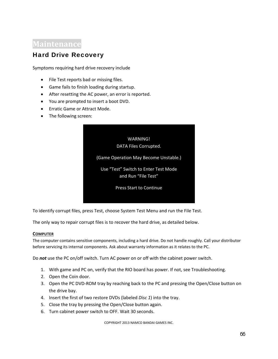### **Maintenance**

### Hard Drive Recovery

Symptoms requiring hard drive recovery include

- File Test reports bad or missing files.
- Game fails to finish loading during startup.
- After resetting the AC power, an error is reported.
- You are prompted to insert a boot DVD.
- **•** Erratic Game or Attract Mode.
- The following screen:



To identify corrupt files, press Test, choose System Test Menu and run the File Test.

The only way to repair corrupt files is to recover the hard drive, as detailed below.

#### **COMPUTER**

The computer contains sensitive components, including a hard drive. Do not handle roughly. Call your distributor before servicing its internal components. Ask about warranty information as it relates to the PC.

Do *not* use the PC on/off switch. Turn AC power on or off with the cabinet power switch.

- 1. With game and PC on, verify that the RIO board has power. If not, see Troubleshooting.
- 2. Open the Coin door.
- 3. Open the PC DVD‐ROM tray by reaching back to the PC and pressing the Open/Close button on the drive bay.
- 4. Insert the first of two restore DVDs (labeled *Disc 1*) into the tray.
- 5. Close the tray by pressing the Open/Close button again.
- 6. Turn cabinet power switch to OFF. Wait 30 seconds.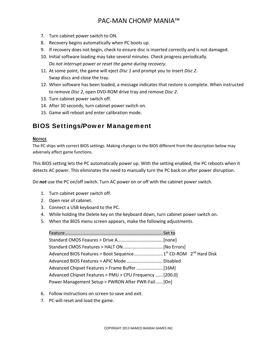- 7. Turn cabinet power switch to ON.
- 8. Recovery begins automatically when PC boots up.
- 9. If recovery does not begin, check to ensure disc is inserted correctly and is not damaged.
- 10. Initial software loading may take several minutes. Check progress periodically.

```
Do not interrupt power or reset the game during recovery.
```
- 11. At some point, the game will eject *Disc 1* and prompt you to insert *Disc 2*. Swap discs and close the tray.
- 12. When software has been loaded, a message indicates that restore is complete. When instructed to remove *Disc 2*, open DVD‐ROM drive tray and remove *Disc 2*.
- 13. Turn cabinet power switch off.
- 14. After 30 seconds, turn cabinet power switch on.
- 15. Game will reboot and enter calibration mode.

### BIOS Settings/Power Management

### **NOTICE**

The PC ships with correct BIOS settings. Making changes to the BIOS different from the description below may adversely affect game functions.

This BIOS setting lets the PC automatically power up. With the setting enabled, the PC reboots when it detects AC power. This eliminates the need to manually turn the PC back on after power disruption.

Do *not* use the PC on/off switch. Turn AC power on or off with the cabinet power switch.

- 1. Turn cabinet power switch off.
- 2. Open rear of cabinet.
- 3. Connect a USB keyboard to the PC.
- 4. While holding the Delete key on the keyboard down, turn cabinet power switch on.
- 5. When the BIOS menu screen appears, make the following adjustments.

| Advanced BIOS Features > APIC Mode  Disabled             |  |
|----------------------------------------------------------|--|
|                                                          |  |
| Advanced Chipset Features > PMU > CPU Frequency  [200.0] |  |
| Power Management Setup > PWRON After PWR-Fail [On]       |  |

- 6. Follow instructions on screen to save and exit.
- 7. PC will reset and load the game.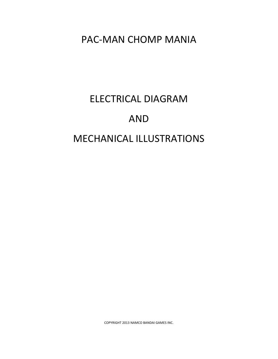# ELECTRICAL DIAGRAM AND MECHANICAL ILLUSTRATIONS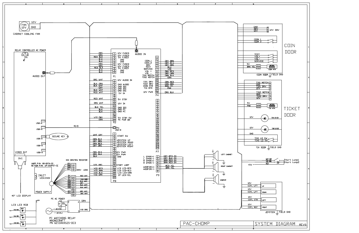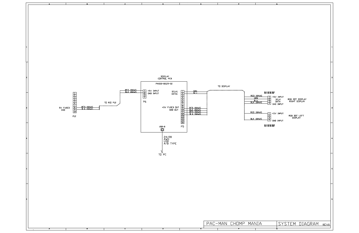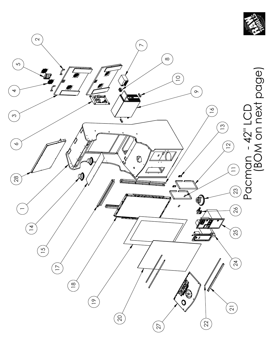

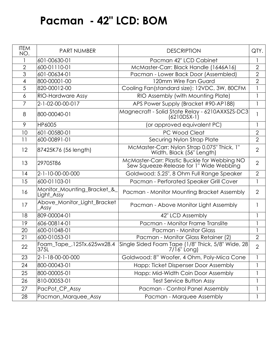## **Pacman - 42" LCD: BOM**

| <b>ITEM</b><br>NO. | <b>PART NUMBER</b>                         | <b>DESCRIPTION</b>                                                                      | QTY.           |
|--------------------|--------------------------------------------|-----------------------------------------------------------------------------------------|----------------|
|                    | 601-00630-01                               | Pacman 42" LCD Cabinet                                                                  |                |
| $\overline{2}$     | 600-01110-01                               | McMaster-Carr: Black Handle (1646A16)                                                   | $\overline{2}$ |
| 3                  | 601-00634-01                               | Pacman - Lower Back Door (Assembled)                                                    | $\overline{2}$ |
| 4                  | 800-00001-00                               | 120mm Wire Fan Guard                                                                    | $\overline{2}$ |
| 5                  | 820-00012-00                               | Cooling Fan(standard size): 12VDC, 3W, 80CFM                                            | $\mathbf{1}$   |
| 6                  | <b>RIO-Hardware Assy</b>                   | RIO Assembly (with Mounting Plate)                                                      | $\mathbf{1}$   |
| $\overline{7}$     | 2-1-02-00-00-017                           | APS Power Supply (Bracket #90-AP188)                                                    | $\mathbf{1}$   |
| 8                  | 800-00040-01                               | Magnecraft - Solid State Relay - 6210AXXSZS-DC3<br>$(6210DSX-1)$                        | $\mathbf{1}$   |
| 9                  | HP6005                                     | (or approved equivalent PC)                                                             | $\mathbf{I}$   |
| 10                 | 601-00580-01                               | PC Wood Cleat                                                                           | $\overline{2}$ |
| 11                 | 600-00891-01                               | Securing Nylon Strap Plate                                                              | $\overline{2}$ |
| 12                 | 87425K76 (56 length)                       | McMaster-Carr: Nylon Strap 0.075" Thick, 1"<br>Width, Black (56" Length)                | $\overline{2}$ |
| 13                 | 29705T86                                   | McMaster-Carr: Plastic Buckle for Webbing NO<br>Sew Squeeze-Release for 1" Wide Webbing | $\overline{2}$ |
| 14                 | 2-1-10-00-00-000                           | Goldwood: 5.25", 8 Ohm Full Range Speaker                                               | $\overline{2}$ |
| 15                 | 600-01103-01                               | Pacman - Perforated Speaker Grill Cover                                                 | $\mathbf{1}$   |
| 16                 | Monitor_Mounting_Bracket_&_<br>Light_Assy  | Pacman - Monitor Mounting Bracket Assembly                                              | $\overline{2}$ |
| 17                 | Above_Monitor_Light_Bracket<br><b>Assy</b> | Pacman - Above Monitor Light Assembly                                                   |                |
| 18                 | 809-00004-01                               | 42" LCD Assembly                                                                        |                |
| 19                 | 606-00814-01                               | Pacman - Monitor Frame Translite                                                        |                |
| 20                 | 600-01048-01                               | <b>Pacman - Monitor Glass</b>                                                           | $\mathbf{1}$   |
| 21                 | 600-01053-01                               | Pacman - Monitor Glass Retainer (2)                                                     | $\overline{2}$ |
| 22                 | Foam_Tape_.125Tx.625wx28.4<br>375L         | Single Sided Foam Tape (1/8" Thick, 5/8" Wide, 28<br>7/16" Long)                        | $\overline{2}$ |
| 23                 | 2-1-18-00-00-000                           | Goldwood: 8" Woofer, 4 Ohm, Poly-Mica Cone                                              | 1              |
| 24                 | 800-00043-01                               | Happ: Ticket Dispenser Door Assembly                                                    | 1              |
| 25                 | 800-00005-01                               | Happ: Mid-Width Coin Door Assembly                                                      |                |
| 26                 | 810-00053-01                               | <b>Test Service Button Assy</b>                                                         |                |
| 27                 | PacPot_CP_Assy                             | Pacman - Control Panel Assembly                                                         | $\mathbf{1}$   |
| 28                 | Pacman_Marquee_Assy                        | Pacman - Marquee Assembly                                                               | 1              |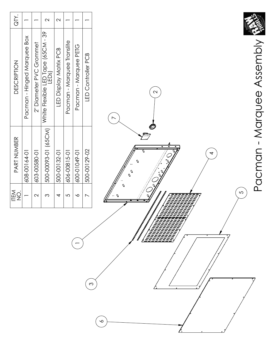| Pacman - Hinged Marquee Box<br>PART NUMBER |
|--------------------------------------------|
| 608-00164-01                               |
| 603-00580-01                               |
| 500-00093-01 (65CM)                        |
| 500-00132-01                               |
| 606-00815-01                               |
| 0-6010-009                                 |
| 500-00129-02                               |

 $\overline{\phantom{0}}$ 

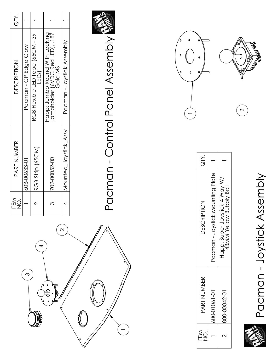

 $\overline{\phantom{0}}$ 



| QTY.                    |                                  |                                                          |
|-------------------------|----------------------------------|----------------------------------------------------------|
| <b>DESCRIPTION</b>      | Pacman - Joystick Mounting Plate | Happ: Super Joystick 4 Way W/<br>43MM Yellow Bubbly Ball |
| PART NUMBER             | 600-01061-01                     | 800-00042-01                                             |
| $\frac{1}{2}$<br>下<br>三 |                                  |                                                          |

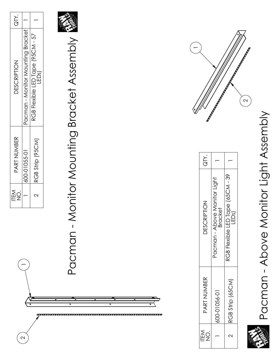| $\sum_{i=1}^{n}$ |                                   |                                       |
|------------------|-----------------------------------|---------------------------------------|
| DESCRIPTION      | Pacman - Monitor Mounting Bracket | RGB Flexible LED Tape (95CM - 57<br>Ğ |
| PART NUMBER      | 00-01055-01                       | RGB Strip (95CM)                      |
| NEN<br>T         |                                   | $\scriptstyle\sim$                    |

 $\overline{\phantom{0}}$ 

 $\sim$ 



**Pacman - Monitor Mounting Bracket Assembly** Pacman - Monitor Mounting Bracket Assembly





| iY.<br>ƏTY.        |                                                |                                                      |
|--------------------|------------------------------------------------|------------------------------------------------------|
| <b>DESCRIPTION</b> | Pacman - Above Monitor Light<br><b>Bracket</b> | RGB Flexible LED Tape (65CM - 39<br>LED <sub>S</sub> |
| PART NUMBER        | 500-01056-01                                   | RGB Strip (65CM)                                     |
| ITEM               |                                                |                                                      |

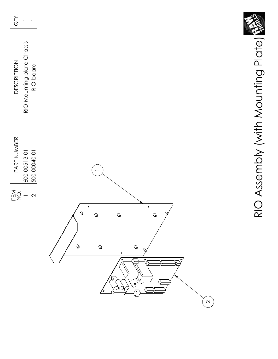